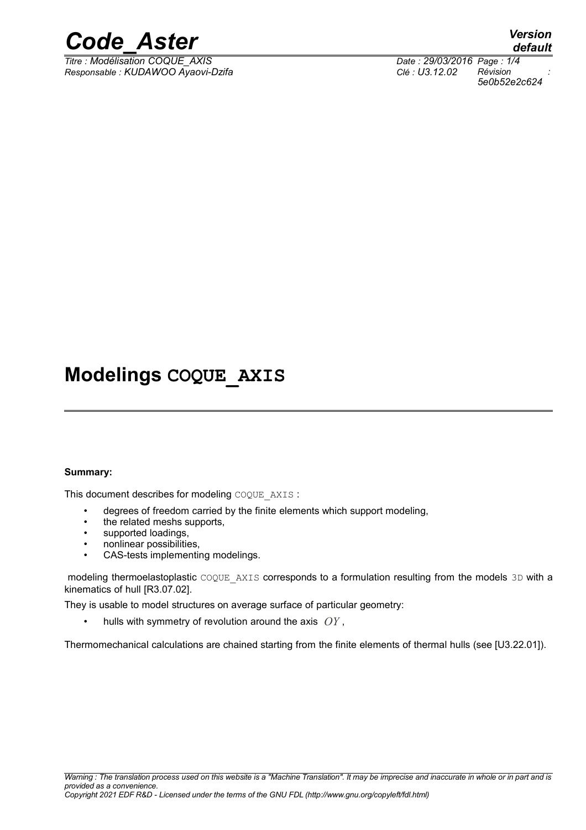

*Titre : Modélisation COQUE\_AXIS Date : 29/03/2016 Page : 1/4 Responsable : KUDAWOO Ayaovi-Dzifa Clé : U3.12.02 Révision :*

*default 5e0b52e2c624*

## **Modelings COQUE\_AXIS**

#### **Summary:**

This document describes for modeling COQUE\_AXIS :

- degrees of freedom carried by the finite elements which support modeling,
- the related meshs supports,
- supported loadings,
- nonlinear possibilities,
- CAS-tests implementing modelings.

modeling thermoelastoplastic COOUE AXIS corresponds to a formulation resulting from the models 3D with a kinematics of hull [R3.07.02].

They is usable to model structures on average surface of particular geometry:

• hulls with symmetry of revolution around the axis *OY* ,

Thermomechanical calculations are chained starting from the finite elements of thermal hulls (see [U3.22.01]).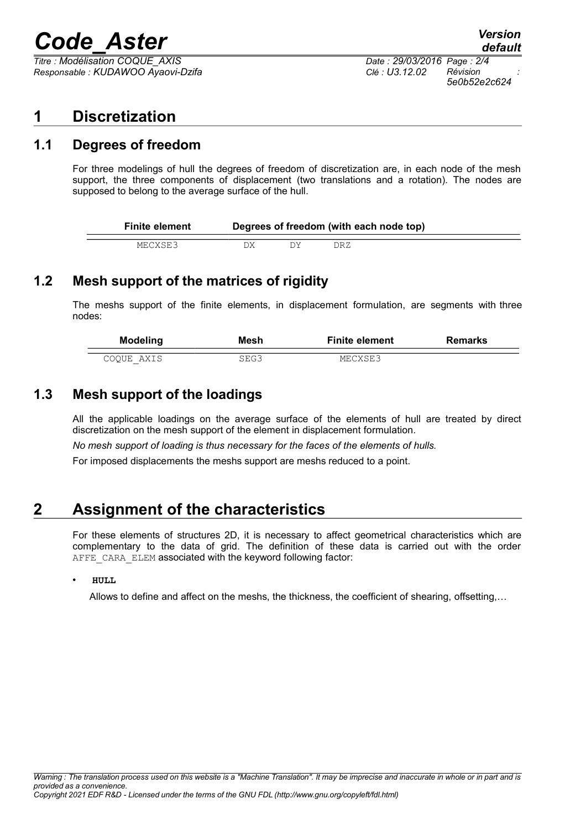## *Code\_Aster Version*

*Titre : Modélisation COQUE\_AXIS Date : 29/03/2016 Page : 2/4 Responsable : KUDAWOO Ayaovi-Dzifa Clé : U3.12.02 Révision :*

### **1 Discretization**

#### **1.1 Degrees of freedom**

For three modelings of hull the degrees of freedom of discretization are, in each node of the mesh support, the three components of displacement (two translations and a rotation). The nodes are supposed to belong to the average surface of the hull.

| <b>Finite element</b> | Degrees of freedom (with each node top) |  |     |  |  |
|-----------------------|-----------------------------------------|--|-----|--|--|
| MECXSE3               |                                         |  | DRZ |  |  |

### **1.2 Mesh support of the matrices of rigidity**

The meshs support of the finite elements, in displacement formulation, are segments with three nodes:

| <b>Modeling</b> | Mesh | <b>Finite element</b> | <b>Remarks</b> |
|-----------------|------|-----------------------|----------------|
|                 |      |                       |                |
| COOUE AXIS      | SEG3 | MECXSE3               |                |

#### **1.3 Mesh support of the loadings**

All the applicable loadings on the average surface of the elements of hull are treated by direct discretization on the mesh support of the element in displacement formulation.

*No mesh support of loading is thus necessary for the faces of the elements of hulls.*

For imposed displacements the meshs support are meshs reduced to a point.

## **2 Assignment of the characteristics**

For these elements of structures 2D, it is necessary to affect geometrical characteristics which are complementary to the data of grid. The definition of these data is carried out with the order AFFE\_CARA\_ELEM associated with the keyword following factor:

#### • **HULL**

Allows to define and affect on the meshs, the thickness, the coefficient of shearing, offsetting,…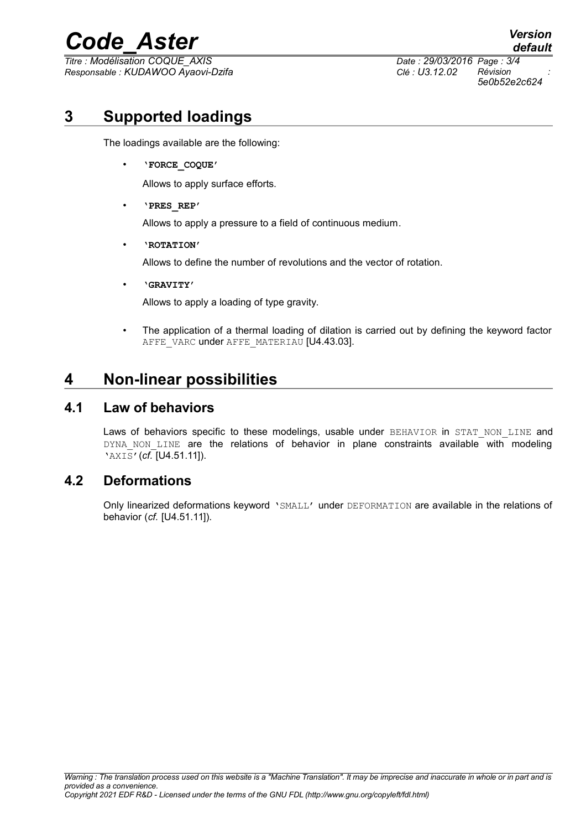## *Code\_Aster Version*

*Titre : Modélisation COQUE\_AXIS Date : 29/03/2016 Page : 3/4 Responsable : KUDAWOO Ayaovi-Dzifa Clé : U3.12.02 Révision :*

*5e0b52e2c624*

*default*

## **3 Supported loadings**

The loadings available are the following:

• **'FORCE\_COQUE'**

Allows to apply surface efforts.

• **'PRES\_REP'**

Allows to apply a pressure to a field of continuous medium.

• **'ROTATION'**

Allows to define the number of revolutions and the vector of rotation.

• **'GRAVITY'**

Allows to apply a loading of type gravity.

• The application of a thermal loading of dilation is carried out by defining the keyword factor AFFE\_VARC under AFFE\_MATERIAU [U4.43.03].

## **4 Non-linear possibilities**

#### **4.1 Law of behaviors**

Laws of behaviors specific to these modelings, usable under BEHAVIOR in STAT NON LINE and DYNA NON LINE are the relations of behavior in plane constraints available with modeling 'AXIS'(*cf.* [U4.51.11]).

#### **4.2 Deformations**

Only linearized deformations keyword 'SMALL' under DEFORMATION are available in the relations of behavior (*cf.* [U4.51.11]).